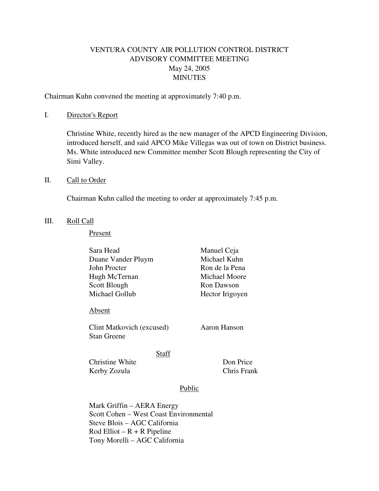# VENTURA COUNTY AIR POLLUTION CONTROL DISTRICT ADVISORY COMMITTEE MEETING May 24, 2005 MINUTES

Chairman Kuhn convened the meeting at approximately 7:40 p.m.

### I. Director's Report

 Christine White, recently hired as the new manager of the APCD Engineering Division, introduced herself, and said APCO Mike Villegas was out of town on District business. Ms. White introduced new Committee member Scott Blough representing the City of Simi Valley.

### II. Call to Order

Chairman Kuhn called the meeting to order at approximately 7:45 p.m.

### III. Roll Call

Present

| Sara Head                                       |        | Manuel Ceja              |
|-------------------------------------------------|--------|--------------------------|
| Duane Vander Pluym                              |        | Michael Kuhn             |
| John Procter                                    |        | Ron de la Pena           |
| Hugh McTernan                                   |        | Michael Moore            |
| Scott Blough                                    |        | Ron Dawson               |
| Michael Gollub                                  |        | Hector Irigoyen          |
| Absent                                          |        |                          |
| Clint Matkovich (excused)<br><b>Stan Greene</b> |        | Aaron Hanson             |
| Christine White<br>Kerby Zozula                 | Staff  | Don Price<br>Chris Frank |
|                                                 | Public |                          |

Mark Griffin – AERA Energy Scott Cohen – West Coast Environmental Steve Blois – AGC California  $Rod$  Elliot –  $R + R$  Pipeline Tony Morelli – AGC California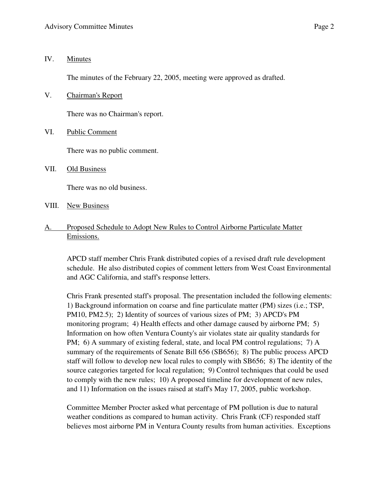### IV. Minutes

The minutes of the February 22, 2005, meeting were approved as drafted.

V. Chairman's Report

There was no Chairman's report.

VI. Public Comment

There was no public comment.

VII. Old Business

There was no old business.

- VIII. New Business
- A. Proposed Schedule to Adopt New Rules to Control Airborne Particulate Matter Emissions.

APCD staff member Chris Frank distributed copies of a revised draft rule development schedule. He also distributed copies of comment letters from West Coast Environmental and AGC California, and staff's response letters.

Chris Frank presented staff's proposal. The presentation included the following elements: 1) Background information on coarse and fine particulate matter (PM) sizes (i.e.; TSP, PM10, PM2.5); 2) Identity of sources of various sizes of PM; 3) APCD's PM monitoring program; 4) Health effects and other damage caused by airborne PM; 5) Information on how often Ventura County's air violates state air quality standards for PM; 6) A summary of existing federal, state, and local PM control regulations; 7) A summary of the requirements of Senate Bill 656 (SB656); 8) The public process APCD staff will follow to develop new local rules to comply with SB656; 8) The identity of the source categories targeted for local regulation; 9) Control techniques that could be used to comply with the new rules; 10) A proposed timeline for development of new rules, and 11) Information on the issues raised at staff's May 17, 2005, public workshop.

Committee Member Procter asked what percentage of PM pollution is due to natural weather conditions as compared to human activity. Chris Frank (CF) responded staff believes most airborne PM in Ventura County results from human activities. Exceptions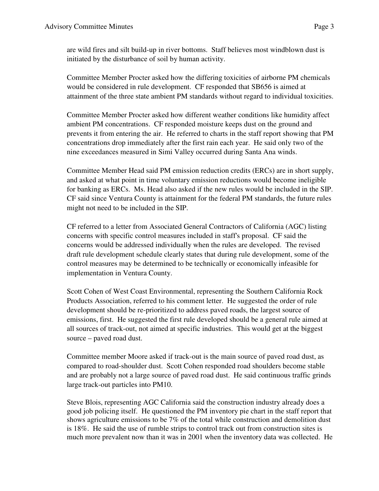are wild fires and silt build-up in river bottoms. Staff believes most windblown dust is initiated by the disturbance of soil by human activity.

Committee Member Procter asked how the differing toxicities of airborne PM chemicals would be considered in rule development. CF responded that SB656 is aimed at attainment of the three state ambient PM standards without regard to individual toxicities.

Committee Member Procter asked how different weather conditions like humidity affect ambient PM concentrations. CF responded moisture keeps dust on the ground and prevents it from entering the air. He referred to charts in the staff report showing that PM concentrations drop immediately after the first rain each year. He said only two of the nine exceedances measured in Simi Valley occurred during Santa Ana winds.

Committee Member Head said PM emission reduction credits (ERCs) are in short supply, and asked at what point in time voluntary emission reductions would become ineligible for banking as ERCs. Ms. Head also asked if the new rules would be included in the SIP. CF said since Ventura County is attainment for the federal PM standards, the future rules might not need to be included in the SIP.

CF referred to a letter from Associated General Contractors of California (AGC) listing concerns with specific control measures included in staff's proposal. CF said the concerns would be addressed individually when the rules are developed. The revised draft rule development schedule clearly states that during rule development, some of the control measures may be determined to be technically or economically infeasible for implementation in Ventura County.

Scott Cohen of West Coast Environmental, representing the Southern California Rock Products Association, referred to his comment letter. He suggested the order of rule development should be re-prioritized to address paved roads, the largest source of emissions, first. He suggested the first rule developed should be a general rule aimed at all sources of track-out, not aimed at specific industries. This would get at the biggest source – paved road dust.

Committee member Moore asked if track-out is the main source of paved road dust, as compared to road-shoulder dust. Scott Cohen responded road shoulders become stable and are probably not a large source of paved road dust. He said continuous traffic grinds large track-out particles into PM10.

Steve Blois, representing AGC California said the construction industry already does a good job policing itself. He questioned the PM inventory pie chart in the staff report that shows agriculture emissions to be 7% of the total while construction and demolition dust is 18%. He said the use of rumble strips to control track out from construction sites is much more prevalent now than it was in 2001 when the inventory data was collected. He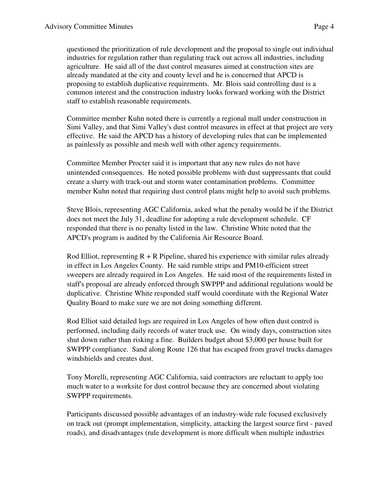questioned the prioritization of rule development and the proposal to single out individual industries for regulation rather than regulating track out across all industries, including agriculture. He said all of the dust control measures aimed at construction sites are already mandated at the city and county level and he is concerned that APCD is proposing to establish duplicative requirements. Mr. Blois said controlling dust is a common interest and the construction industry looks forward working with the District staff to establish reasonable requirements.

Committee member Kuhn noted there is currently a regional mall under construction in Simi Valley, and that Simi Valley's dust control measures in effect at that project are very effective. He said the APCD has a history of developing rules that can be implemented as painlessly as possible and mesh well with other agency requirements.

Committee Member Procter said it is important that any new rules do not have unintended consequences. He noted possible problems with dust suppressants that could create a slurry with track-out and storm water contamination problems. Committee member Kuhn noted that requiring dust control plans might help to avoid such problems.

Steve Blois, representing AGC California, asked what the penalty would be if the District does not meet the July 31, deadline for adopting a rule development schedule. CF responded that there is no penalty listed in the law. Christine White noted that the APCD's program is audited by the California Air Resource Board.

Rod Elliot, representing  $R + R$  Pipeline, shared his experience with similar rules already in effect in Los Angeles County. He said rumble strips and PM10-efficient street sweepers are already required in Los Angeles. He said most of the requirements listed in staff's proposal are already enforced through SWPPP and additional regulations would be duplicative. Christine White responded staff would coordinate with the Regional Water Quality Board to make sure we are not doing something different.

Rod Elliot said detailed logs are required in Los Angeles of how often dust control is performed, including daily records of water truck use. On windy days, construction sites shut down rather than risking a fine. Builders budget about \$3,000 per house built for SWPPP compliance. Sand along Route 126 that has escaped from gravel trucks damages windshields and creates dust.

Tony Morelli, representing AGC California, said contractors are reluctant to apply too much water to a worksite for dust control because they are concerned about violating SWPPP requirements.

Participants discussed possible advantages of an industry-wide rule focused exclusively on track out (prompt implementation, simplicity, attacking the largest source first - paved roads), and disadvantages (rule development is more difficult when multiple industries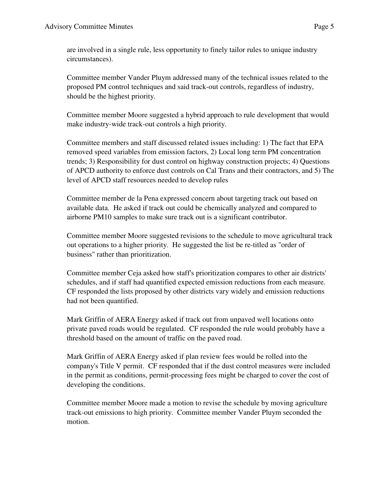are involved in a single rule, less opportunity to finely tailor rules to unique industry circumstances).

Committee member Vander Pluym addressed many of the technical issues related to the proposed PM control techniques and said track-out controls, regardless of industry, should be the highest priority.

Committee member Moore suggested a hybrid approach to rule development that would make industry-wide track-out controls a high priority.

Committee members and staff discussed related issues including: 1) The fact that EPA removed speed variables from emission factors, 2) Local long term PM concentration trends; 3) Responsibility for dust control on highway construction projects; 4) Questions of APCD authority to enforce dust controls on Cal Trans and their contractors, and 5) The level of APCD staff resources needed to develop rules

Committee member de la Pena expressed concern about targeting track out based on available data. He asked if track out could be chemically analyzed and compared to airborne PM10 samples to make sure track out is a significant contributor.

Committee member Moore suggested revisions to the schedule to move agricultural track out operations to a higher priority. He suggested the list be re-titled as "order of business" rather than prioritization.

Committee member Ceja asked how staff's prioritization compares to other air districts' schedules, and if staff had quantified expected emission reductions from each measure. CF responded the lists proposed by other districts vary widely and emission reductions had not been quantified.

Mark Griffin of AERA Energy asked if track out from unpaved well locations onto private paved roads would be regulated. CF responded the rule would probably have a threshold based on the amount of traffic on the paved road.

Mark Griffin of AERA Energy asked if plan review fees would be rolled into the company's Title V permit. CF responded that if the dust control measures were included in the permit as conditions, permit-processing fees might be charged to cover the cost of developing the conditions.

Committee member Moore made a motion to revise the schedule by moving agriculture track-out emissions to high priority. Committee member Vander Pluym seconded the motion.